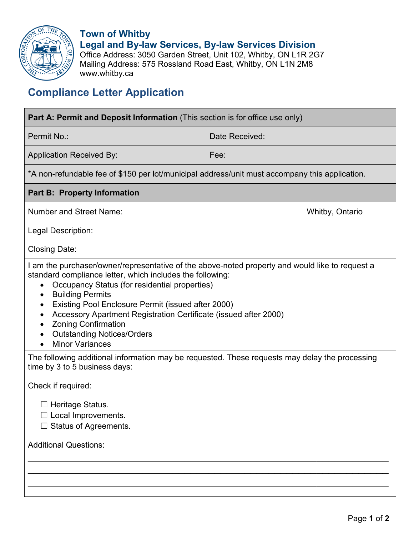

**Town of Whitby Legal and By-law Services, By-law Services Division** Office Address: 3050 Garden Street, Unit 102, Whitby, ON L1R 2G7 Mailing Address: 575 Rossland Road East, Whitby, ON L1N 2M8 www.whitby.ca

## **Compliance Letter Application**

| <b>Part A: Permit and Deposit Information</b> (This section is for office use only)                                                                                                                                                                                                                                                                                                                                                                                                            |                 |
|------------------------------------------------------------------------------------------------------------------------------------------------------------------------------------------------------------------------------------------------------------------------------------------------------------------------------------------------------------------------------------------------------------------------------------------------------------------------------------------------|-----------------|
| Permit No.:                                                                                                                                                                                                                                                                                                                                                                                                                                                                                    | Date Received:  |
| <b>Application Received By:</b>                                                                                                                                                                                                                                                                                                                                                                                                                                                                | Fee:            |
| *A non-refundable fee of \$150 per lot/municipal address/unit must accompany this application.                                                                                                                                                                                                                                                                                                                                                                                                 |                 |
| <b>Part B: Property Information</b>                                                                                                                                                                                                                                                                                                                                                                                                                                                            |                 |
| <b>Number and Street Name:</b>                                                                                                                                                                                                                                                                                                                                                                                                                                                                 | Whitby, Ontario |
| Legal Description:                                                                                                                                                                                                                                                                                                                                                                                                                                                                             |                 |
| Closing Date:                                                                                                                                                                                                                                                                                                                                                                                                                                                                                  |                 |
| I am the purchaser/owner/representative of the above-noted property and would like to request a<br>standard compliance letter, which includes the following:<br>Occupancy Status (for residential properties)<br><b>Building Permits</b><br>$\bullet$<br>Existing Pool Enclosure Permit (issued after 2000)<br>٠<br>Accessory Apartment Registration Certificate (issued after 2000)<br>$\bullet$<br><b>Zoning Confirmation</b><br><b>Outstanding Notices/Orders</b><br><b>Minor Variances</b> |                 |
| The following additional information may be requested. These requests may delay the processing<br>time by 3 to 5 business days:                                                                                                                                                                                                                                                                                                                                                                |                 |
| Check if required:                                                                                                                                                                                                                                                                                                                                                                                                                                                                             |                 |
| $\Box$ Heritage Status.<br>Local Improvements.<br><b>Status of Agreements.</b>                                                                                                                                                                                                                                                                                                                                                                                                                 |                 |
| <b>Additional Questions:</b>                                                                                                                                                                                                                                                                                                                                                                                                                                                                   |                 |
|                                                                                                                                                                                                                                                                                                                                                                                                                                                                                                |                 |
|                                                                                                                                                                                                                                                                                                                                                                                                                                                                                                |                 |